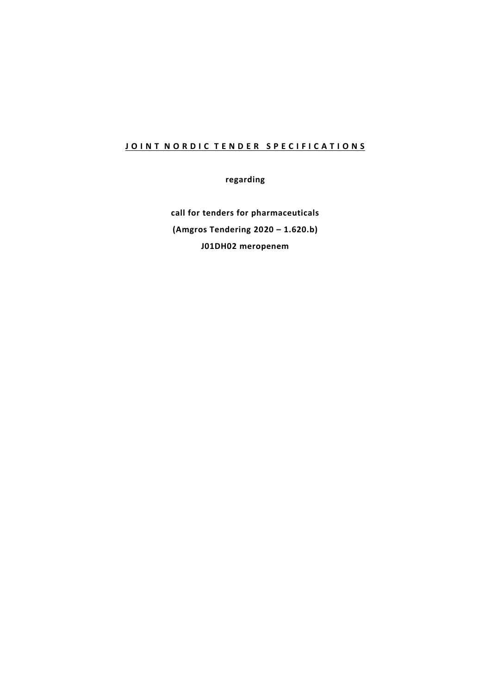## **JOINT NORDIC TENDER SPECIFICATIONS**

**regarding**

**call for tenders for pharmaceuticals (Amgros Tendering 2020 – 1.620.b) J01DH02 meropenem**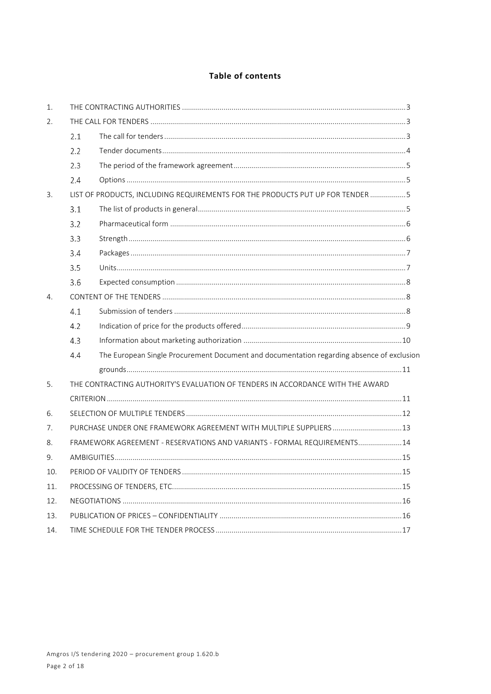## Table of contents

| 1.  |                                                                                                  |                                                                          |  |
|-----|--------------------------------------------------------------------------------------------------|--------------------------------------------------------------------------|--|
| 2.  |                                                                                                  |                                                                          |  |
|     | 2.1                                                                                              |                                                                          |  |
|     | 2.2                                                                                              |                                                                          |  |
|     | 2.3                                                                                              |                                                                          |  |
|     | 2.4                                                                                              |                                                                          |  |
| 3.  | LIST OF PRODUCTS, INCLUDING REQUIREMENTS FOR THE PRODUCTS PUT UP FOR TENDER 5                    |                                                                          |  |
|     | 3.1                                                                                              |                                                                          |  |
|     | 3.2                                                                                              |                                                                          |  |
|     | 3.3                                                                                              |                                                                          |  |
|     | 3.4                                                                                              |                                                                          |  |
|     | 3.5                                                                                              |                                                                          |  |
|     | 3.6                                                                                              |                                                                          |  |
| 4.  |                                                                                                  |                                                                          |  |
|     | 4.1                                                                                              |                                                                          |  |
|     | 4.2                                                                                              |                                                                          |  |
|     | 4.3                                                                                              |                                                                          |  |
|     | The European Single Procurement Document and documentation regarding absence of exclusion<br>4.4 |                                                                          |  |
|     |                                                                                                  |                                                                          |  |
| 5.  | THE CONTRACTING AUTHORITY'S EVALUATION OF TENDERS IN ACCORDANCE WITH THE AWARD                   |                                                                          |  |
|     |                                                                                                  |                                                                          |  |
| 6.  |                                                                                                  |                                                                          |  |
| 7.  |                                                                                                  |                                                                          |  |
| 8.  |                                                                                                  | FRAMEWORK AGREEMENT - RESERVATIONS AND VARIANTS - FORMAL REQUIREMENTS 14 |  |
| 9.  |                                                                                                  |                                                                          |  |
| 10. |                                                                                                  |                                                                          |  |
| 11. |                                                                                                  |                                                                          |  |
| 12. |                                                                                                  |                                                                          |  |
| 13. |                                                                                                  |                                                                          |  |
| 14. |                                                                                                  |                                                                          |  |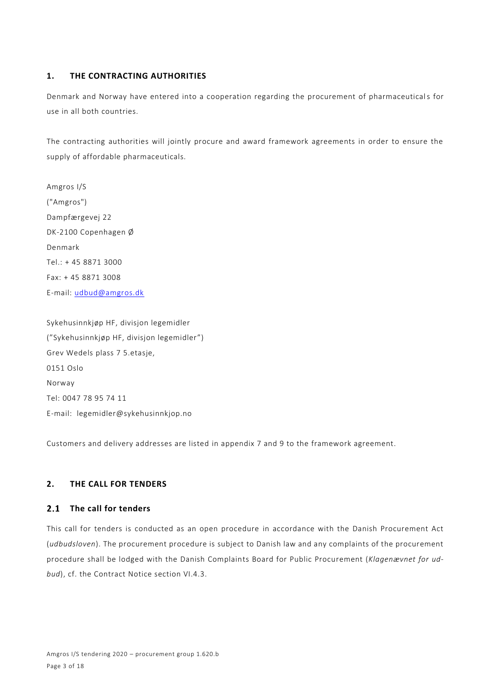## **1. THE CONTRACTING AUTHORITIES**

Denmark and Norway have entered into a cooperation regarding the procurement of pharmaceuticals for use in all both countries.

The contracting authorities will jointly procure and award framework agreements in order to ensure the supply of affordable pharmaceuticals.

Amgros I/S ("Amgros") Dampfærgevej 22 DK-2100 Copenhagen Ø Denmark Tel.: + 45 8871 3000 Fax: + 45 8871 3008 E-mail: [udbud@amgros.dk](mailto:udbud@amgros.dk)

Sykehusinnkjøp HF, divisjon legemidler ("Sykehusinnkjøp HF, divisjon legemidler") Grev Wedels plass 7 5.etasje, 0151 Oslo Norway Tel: 0047 78 95 74 11 E-mail: legemidler@sykehusinnkjop.no

Customers and delivery addresses are listed in appendix 7 and 9 to the framework agreement.

## **2. THE CALL FOR TENDERS**

#### **The call for tenders**  $2.1$

This call for tenders is conducted as an open procedure in accordance with the Danish Procurement Act (*udbudsloven*). The procurement procedure is subject to Danish law and any complaints of the procurement procedure shall be lodged with the Danish Complaints Board for Public Procurement (*Klagenævnet for udbud*), cf. the Contract Notice section VI.4.3.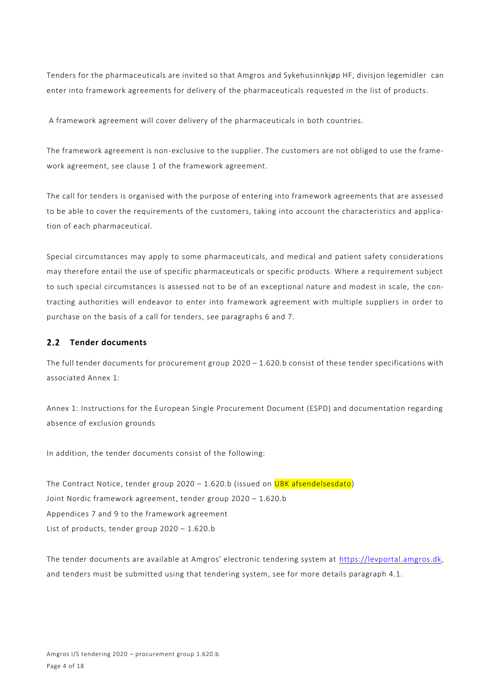Tenders for the pharmaceuticals are invited so that Amgros and Sykehusinnkjøp HF, divisjon legemidler can enter into framework agreements for delivery of the pharmaceuticals requested in the list of products.

A framework agreement will cover delivery of the pharmaceuticals in both countries.

The framework agreement is non-exclusive to the supplier. The customers are not obliged to use the framework agreement, see clause 1 of the framework agreement.

The call for tenders is organised with the purpose of entering into framework agreements that are assessed to be able to cover the requirements of the customers, taking into account the characteristics and application of each pharmaceutical.

Special circumstances may apply to some pharmaceuticals, and medical and patient safety considerations may therefore entail the use of specific pharmaceuticals or specific products. Where a requirement subject to such special circumstances is assessed not to be of an exceptional nature and modest in scale, the contracting authorities will endeavor to enter into framework agreement with multiple suppliers in order to purchase on the basis of a call for tenders, see paragraphs 6 and 7.

### 2.2 Tender documents

The full tender documents for procurement group 2020 – 1.620.b consist of these tender specifications with associated Annex 1:

Annex 1: Instructions for the European Single Procurement Document (ESPD) and documentation regarding absence of exclusion grounds

In addition, the tender documents consist of the following:

The Contract Notice, tender group  $2020 - 1.620$ .b (issued on UBK afsendelsesdato) Joint Nordic framework agreement, tender group 2020 – 1.620.b Appendices 7 and 9 to the framework agreement List of products, tender group 2020 – 1.620.b

The tender documents are available at Amgros' electronic tendering system at [https://levportal.amgros.dk,](https://levportal.amgros.dk/) and tenders must be submitted using that tendering system, see for more details paragraph 4.1.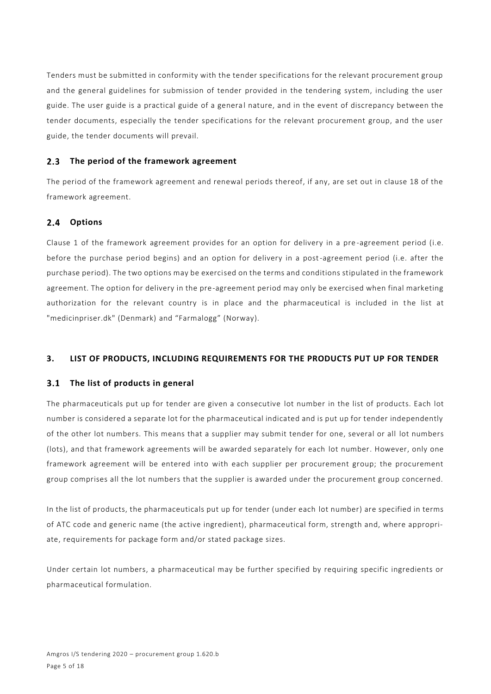Tenders must be submitted in conformity with the tender specifications for the relevant procurement group and the general guidelines for submission of tender provided in the tendering system, including the user guide. The user guide is a practical guide of a general nature, and in the event of discrepancy between the tender documents, especially the tender specifications for the relevant procurement group, and the user guide, the tender documents will prevail.

#### $2.3$ **The period of the framework agreement**

The period of the framework agreement and renewal periods thereof, if any, are set out in clause 18 of the framework agreement.

#### $2.4$ **Options**

Clause 1 of the framework agreement provides for an option for delivery in a pre -agreement period (i.e. before the purchase period begins) and an option for delivery in a post-agreement period (i.e. after the purchase period). The two options may be exercised on the terms and conditions stipulated in the framework agreement. The option for delivery in the pre-agreement period may only be exercised when final marketing authorization for the relevant country is in place and the pharmaceutical is included in the list at "medicinpriser.dk" (Denmark) and "Farmalogg" (Norway).

## **3. LIST OF PRODUCTS, INCLUDING REQUIREMENTS FOR THE PRODUCTS PUT UP FOR TENDER**

#### $3.1$ **The list of products in general**

The pharmaceuticals put up for tender are given a consecutive lot number in the list of products. Each lot number is considered a separate lot for the pharmaceutical indicated and is put up for tender independently of the other lot numbers. This means that a supplier may submit tender for one, several or all lot numbers (lots), and that framework agreements will be awarded separately for each lot number. However, only one framework agreement will be entered into with each supplier per procurement group; the procurement group comprises all the lot numbers that the supplier is awarded under the procurement group concerned.

In the list of products, the pharmaceuticals put up for tender (under each lot number) are specified in terms of ATC code and generic name (the active ingredient), pharmaceutical form, strength and, where appropriate, requirements for package form and/or stated package sizes.

Under certain lot numbers, a pharmaceutical may be further specified by requiring specific ingredients or pharmaceutical formulation.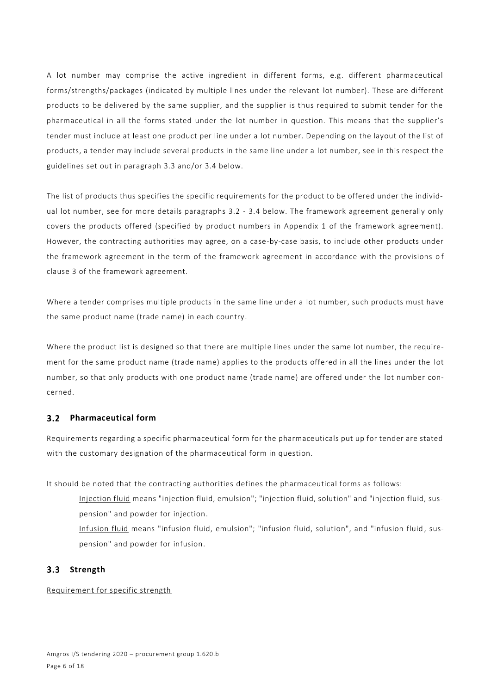A lot number may comprise the active ingredient in different forms, e.g. different pharmaceutical forms/strengths/packages (indicated by multiple lines under the relevant lot number). These are different products to be delivered by the same supplier, and the supplier is thus required to submit tender for the pharmaceutical in all the forms stated under the lot number in question. This means that the supplier's tender must include at least one product per line under a lot number. Depending on the layout of the list of products, a tender may include several products in the same line under a lot number, see in this respect the guidelines set out in paragraph 3.3 and/or 3.4 below.

The list of products thus specifies the specific requirements for the product to be offered under the individual lot number, see for more details paragraphs 3.2 - 3.4 below. The framework agreement generally only covers the products offered (specified by product numbers in Appendix 1 of the framework agreement). However, the contracting authorities may agree, on a case-by-case basis, to include other products under the framework agreement in the term of the framework agreement in accordance with the provisions of clause 3 of the framework agreement.

Where a tender comprises multiple products in the same line under a lot number, such products must have the same product name (trade name) in each country.

Where the product list is designed so that there are multiple lines under the same lot number, the requirement for the same product name (trade name) applies to the products offered in all the lines under the lot number, so that only products with one product name (trade name) are offered under the lot number concerned.

## **Pharmaceutical form**

Requirements regarding a specific pharmaceutical form for the pharmaceuticals put up for tender are stated with the customary designation of the pharmaceutical form in question.

It should be noted that the contracting authorities defines the pharmaceutical forms as follows:

- Injection fluid means "injection fluid, emulsion"; "injection fluid, solution" and "injection fluid, suspension" and powder for injection.
- Infusion fluid means "infusion fluid, emulsion"; "infusion fluid, solution", and "infusion fluid , suspension" and powder for infusion.

## **Strength**

Requirement for specific strength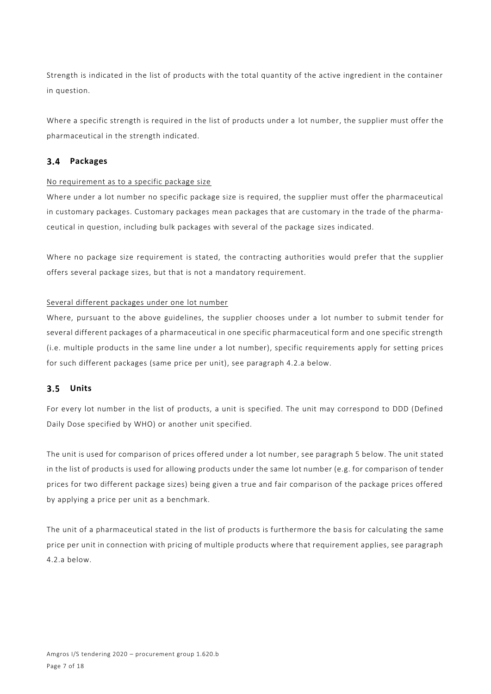Strength is indicated in the list of products with the total quantity of the active ingredient in the container in question.

Where a specific strength is required in the list of products under a lot number, the supplier must offer the pharmaceutical in the strength indicated.

## **Packages**

## No requirement as to a specific package size

Where under a lot number no specific package size is required, the supplier must offer the pharmaceutical in customary packages. Customary packages mean packages that are customary in the trade of the pharmaceutical in question, including bulk packages with several of the package sizes indicated.

Where no package size requirement is stated, the contracting authorities would prefer that the supplier offers several package sizes, but that is not a mandatory requirement.

## Several different packages under one lot number

Where, pursuant to the above guidelines, the supplier chooses under a lot number to submit tender for several different packages of a pharmaceutical in one specific pharmaceutical form and one specific strength (i.e. multiple products in the same line under a lot number), specific requirements apply for setting prices for such different packages (same price per unit), see paragraph 4.2.a below.

## **Units**

For every lot number in the list of products, a unit is specified. The unit may correspond to DDD (Defined Daily Dose specified by WHO) or another unit specified.

The unit is used for comparison of prices offered under a lot number, see paragraph 5 below. The unit stated in the list of products is used for allowing products under the same lot number (e.g. for comparison of tender prices for two different package sizes) being given a true and fair comparison of the package prices offered by applying a price per unit as a benchmark.

The unit of a pharmaceutical stated in the list of products is furthermore the ba sis for calculating the same price per unit in connection with pricing of multiple products where that requirement applies, see paragraph 4.2.a below.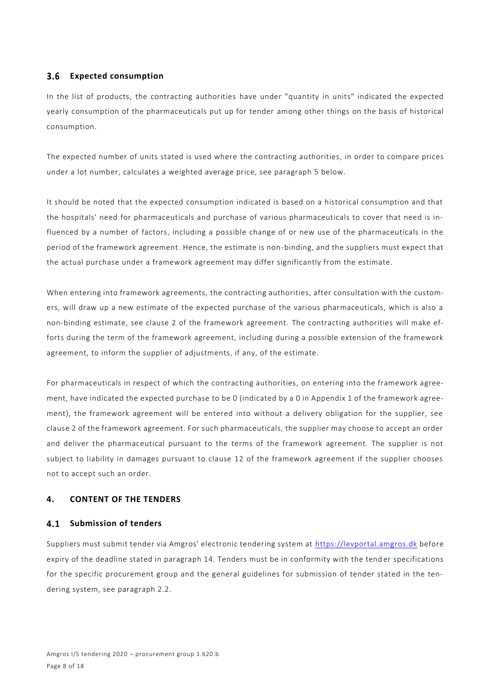#### **Expected consumption**  $3.6$

In the list of products, the contracting authorities have under "quantity in units" indicated the expected yearly consumption of the pharmaceuticals put up for tender among other things on the basis of historical consumption.

The expected number of units stated is used where the contracting authorities, in order to compare prices under a lot number, calculates a weighted average price, see paragraph 5 below.

It should be noted that the expected consumption indicated is based on a historical consumption and that the hospitals' need for pharmaceuticals and purchase of various pharmaceuticals to cover that need is influenced by a number of factors, including a possible change of or new use of the pharmaceuticals in the period of the framework agreement. Hence, the estimate is non-binding, and the suppliers must expect that the actual purchase under a framework agreement may differ significantly from the estimate.

When entering into framework agreements, the contracting authorities, after consultation with the customers, will draw up a new estimate of the expected purchase of the various pharmaceuticals, which is also a non-binding estimate, see clause 2 of the framework agreement. The contracting authorities will make efforts during the term of the framework agreement, including during a possible extension of the framework agreement, to inform the supplier of adjustments, if any, of the estimate.

For pharmaceuticals in respect of which the contracting authorities, on entering into the framework agreement, have indicated the expected purchase to be 0 (indicated by a 0 in Appendix 1 of the framework agreement), the framework agreement will be entered into without a delivery obligation for the supplier, see clause 2 of the framework agreement. For such pharmaceuticals, the supplier may choose to accept an order and deliver the pharmaceutical pursuant to the terms of the framework agreement. The supplier is not subject to liability in damages pursuant to clause 12 of the framework agreement if the supplier chooses not to accept such an order.

## **4. CONTENT OF THE TENDERS**

## **4.1 Submission of tenders**

Suppliers must submit tender via Amgros' electronic tendering system at [https://levportal.amgros.dk](https://levportal.amgros.dk/) before expiry of the deadline stated in paragraph 14. Tenders must be in conformity with the tender specifications for the specific procurement group and the general guidelines for submission of tender stated in the tendering system, see paragraph 2.2.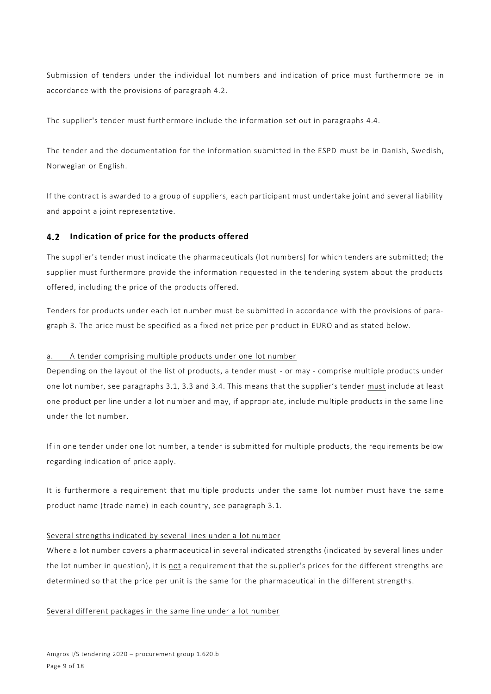Submission of tenders under the individual lot numbers and indication of price must furthermore be in accordance with the provisions of paragraph 4.2.

The supplier's tender must furthermore include the information set out in paragraphs 4.4.

The tender and the documentation for the information submitted in the ESPD must be in Danish, Swedish, Norwegian or English.

If the contract is awarded to a group of suppliers, each participant must undertake joint and several liability and appoint a joint representative.

## **Indication of price for the products offered**

The supplier's tender must indicate the pharmaceuticals (lot numbers) for which tenders are submitted; the supplier must furthermore provide the information requested in the tendering system about the products offered, including the price of the products offered.

Tenders for products under each lot number must be submitted in accordance with the provisions of paragraph 3. The price must be specified as a fixed net price per product in EURO and as stated below.

#### a. A tender comprising multiple products under one lot number

Depending on the layout of the list of products, a tender must - or may - comprise multiple products under one lot number, see paragraphs 3.1, 3.3 and 3.4. This means that the supplier's tender must include at least one product per line under a lot number and may, if appropriate, include multiple products in the same line under the lot number.

If in one tender under one lot number, a tender is submitted for multiple products, the requirements below regarding indication of price apply.

It is furthermore a requirement that multiple products under the same lot number must have the same product name (trade name) in each country, see paragraph 3.1.

#### Several strengths indicated by several lines under a lot number

Where a lot number covers a pharmaceutical in several indicated strengths (indicated by several lines under the lot number in question), it is not a requirement that the supplier's prices for the different strengths are determined so that the price per unit is the same for the pharmaceutical in the different strengths.

#### Several different packages in the same line under a lot number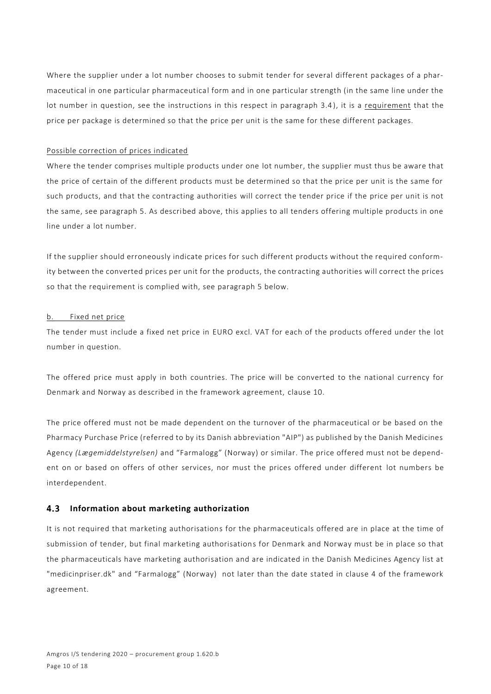Where the supplier under a lot number chooses to submit tender for several different packages of a pharmaceutical in one particular pharmaceutical form and in one particular strength (in the same line under the lot number in question, see the instructions in this respect in paragraph 3.4 ), it is a requirement that the price per package is determined so that the price per unit is the same for these different packages.

### Possible correction of prices indicated

Where the tender comprises multiple products under one lot number, the supplier must thus be aware that the price of certain of the different products must be determined so that the price per unit is the same for such products, and that the contracting authorities will correct the tender price if the price per unit is not the same, see paragraph 5. As described above, this applies to all tenders offering multiple products in one line under a lot number.

If the supplier should erroneously indicate prices for such different products without the required conformity between the converted prices per unit for the products, the contracting authorities will correct the prices so that the requirement is complied with, see paragraph 5 below.

#### b. Fixed net price

The tender must include a fixed net price in EURO excl. VAT for each of the products offered under the lot number in question.

The offered price must apply in both countries. The price will be converted to the national currency for Denmark and Norway as described in the framework agreement, clause 10.

The price offered must not be made dependent on the turnover of the pharmaceutical or be based on the Pharmacy Purchase Price (referred to by its Danish abbreviation "AIP") as published by the Danish Medicines Agency *(Lægemiddelstyrelsen)* and "Farmalogg" (Norway) or similar. The price offered must not be dependent on or based on offers of other services, nor must the prices offered under different lot numbers be interdependent.

## **Information about marketing authorization**

It is not required that marketing authorisations for the pharmaceuticals offered are in place at the time of submission of tender, but final marketing authorisations for Denmark and Norway must be in place so that the pharmaceuticals have marketing authorisation and are indicated in the Danish Medicines Agency list at "medicinpriser.dk" and "Farmalogg" (Norway) not later than the date stated in clause 4 of the framework agreement.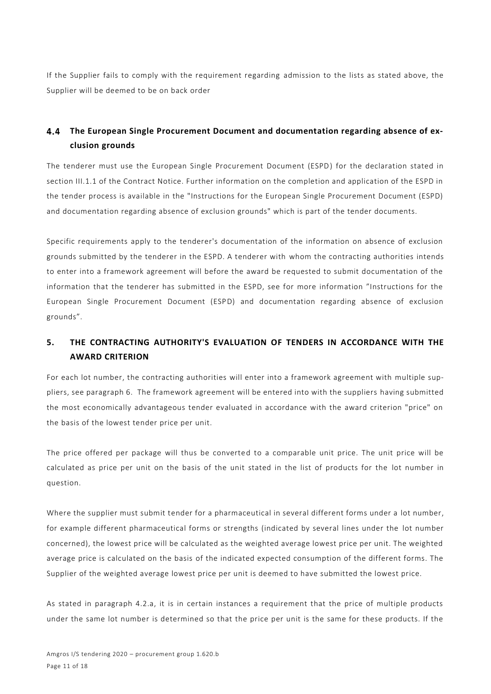If the Supplier fails to comply with the requirement regarding admission to the lists as stated above, the Supplier will be deemed to be on back order

#### 4.4 **The European Single Procurement Document and documentation regarding absence of exclusion grounds**

The tenderer must use the European Single Procurement Document (ESPD) for the declaration stated in section III.1.1 of the Contract Notice. Further information on the completion and application of the ESPD in the tender process is available in the "Instructions for the European Single Procurement Document (ESPD) and documentation regarding absence of exclusion grounds" which is part of the tender documents.

Specific requirements apply to the tenderer's documentation of the information on absence of exclusion grounds submitted by the tenderer in the ESPD. A tenderer with whom the contracting authorities intends to enter into a framework agreement will before the award be requested to submit documentation of the information that the tenderer has submitted in the ESPD, see for more information "Instructions for the European Single Procurement Document (ESPD) and documentation regarding absence of exclusion grounds".

# **5. THE CONTRACTING AUTHORITY'S EVALUATION OF TENDERS IN ACCORDANCE WITH THE AWARD CRITERION**

For each lot number, the contracting authorities will enter into a framework agreement with multiple suppliers, see paragraph 6. The framework agreement will be entered into with the suppliers having submitted the most economically advantageous tender evaluated in accordance with the award criterion "price" on the basis of the lowest tender price per unit.

The price offered per package will thus be converted to a comparable unit price. The unit price will be calculated as price per unit on the basis of the unit stated in the list of products for the lot number in question.

Where the supplier must submit tender for a pharmaceutical in several different forms under a lot number, for example different pharmaceutical forms or strengths (indicated by several lines under the lot number concerned), the lowest price will be calculated as the weighted average lowest price per unit. The weighted average price is calculated on the basis of the indicated expected consumption of the different forms. The Supplier of the weighted average lowest price per unit is deemed to have submitted the lowest price.

As stated in paragraph 4.2.a, it is in certain instances a requirement that the price of multiple products under the same lot number is determined so that the price per unit is the same for these products. If the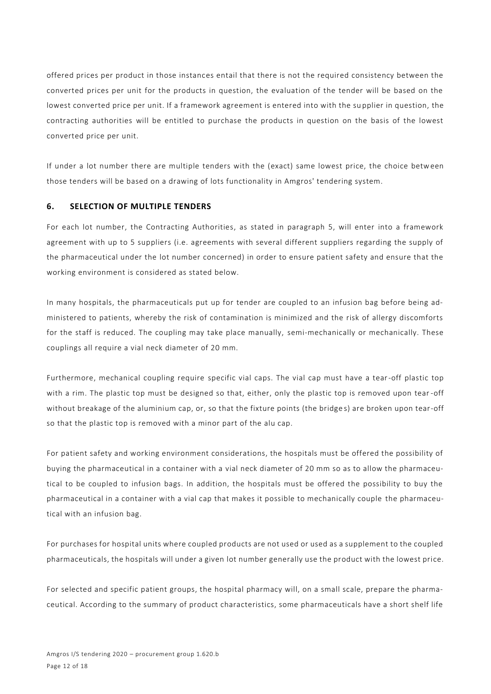offered prices per product in those instances entail that there is not the required consistency between the converted prices per unit for the products in question, the evaluation of the tender will be based on the lowest converted price per unit. If a framework agreement is entered into with the su pplier in question, the contracting authorities will be entitled to purchase the products in question on the basis of the lowest converted price per unit.

If under a lot number there are multiple tenders with the (exact) same lowest price, the choice between those tenders will be based on a drawing of lots functionality in Amgros' tendering system.

## **6. SELECTION OF MULTIPLE TENDERS**

For each lot number, the Contracting Authorities, as stated in paragraph 5, will enter into a framework agreement with up to 5 suppliers (i.e. agreements with several different suppliers regarding the supply of the pharmaceutical under the lot number concerned) in order to ensure patient safety and ensure that the working environment is considered as stated below.

In many hospitals, the pharmaceuticals put up for tender are coupled to an infusion bag before being administered to patients, whereby the risk of contamination is minimized and the risk of allergy discomforts for the staff is reduced. The coupling may take place manually, semi-mechanically or mechanically. These couplings all require a vial neck diameter of 20 mm.

Furthermore, mechanical coupling require specific vial caps. The vial cap must have a tear-off plastic top with a rim. The plastic top must be designed so that, either, only the plastic top is removed upon tear -off without breakage of the aluminium cap, or, so that the fixture points (the bridge s) are broken upon tear-off so that the plastic top is removed with a minor part of the alu cap.

For patient safety and working environment considerations, the hospitals must be offered the possibility of buying the pharmaceutical in a container with a vial neck diameter of 20 mm so as to allow the pharmaceutical to be coupled to infusion bags. In addition, the hospitals must be offered the possibility to buy the pharmaceutical in a container with a vial cap that makes it possible to mechanically couple the pharmaceutical with an infusion bag.

For purchases for hospital units where coupled products are not used or used as a supplement to the coupled pharmaceuticals, the hospitals will under a given lot number generally use the product with the lowest price.

For selected and specific patient groups, the hospital pharmacy will, on a small scale, prepare the pharmaceutical. According to the summary of product characteristics, some pharmaceuticals have a short shelf life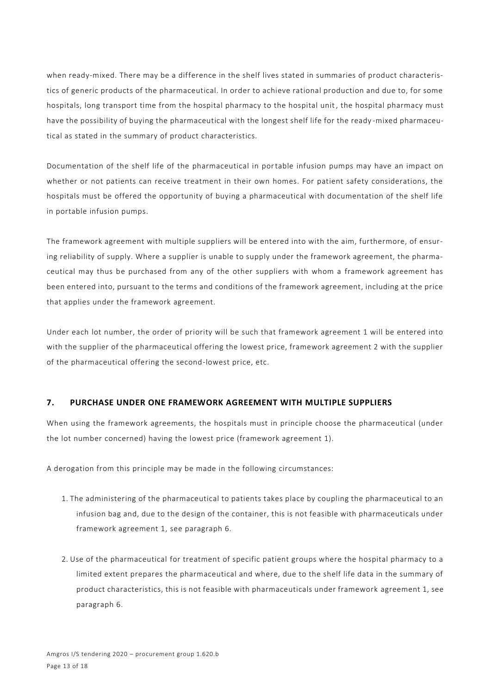when ready-mixed. There may be a difference in the shelf lives stated in summaries of product characteristics of generic products of the pharmaceutical. In order to achieve rational production and due to, for some hospitals, long transport time from the hospital pharmacy to the hospital unit, the hospital pharmacy must have the possibility of buying the pharmaceutical with the longest shelf life for the ready -mixed pharmaceutical as stated in the summary of product characteristics.

Documentation of the shelf life of the pharmaceutical in portable infusion pumps may have an impact on whether or not patients can receive treatment in their own homes. For patient safety considerations, the hospitals must be offered the opportunity of buying a pharmaceutical with documentation of the shelf life in portable infusion pumps.

The framework agreement with multiple suppliers will be entered into with the aim, furthermore, of ensuring reliability of supply. Where a supplier is unable to supply under the framework agreement, the pharmaceutical may thus be purchased from any of the other suppliers with whom a framework agreement has been entered into, pursuant to the terms and conditions of the framework agreement, including at the price that applies under the framework agreement.

Under each lot number, the order of priority will be such that framework agreement 1 will be entered into with the supplier of the pharmaceutical offering the lowest price, framework agreement 2 with the supplier of the pharmaceutical offering the second-lowest price, etc.

## **7. PURCHASE UNDER ONE FRAMEWORK AGREEMENT WITH MULTIPLE SUPPLIERS**

When using the framework agreements, the hospitals must in principle choose the pharmaceutical (under the lot number concerned) having the lowest price (framework agreement 1).

A derogation from this principle may be made in the following circumstances:

- 1. The administering of the pharmaceutical to patients takes place by coupling the pharmaceutical to an infusion bag and, due to the design of the container, this is not feasible with pharmaceuticals under framework agreement 1, see paragraph 6.
- 2. Use of the pharmaceutical for treatment of specific patient groups where the hospital pharmacy to a limited extent prepares the pharmaceutical and where, due to the shelf life data in the summary of product characteristics, this is not feasible with pharmaceuticals under framework agreement 1, see paragraph 6.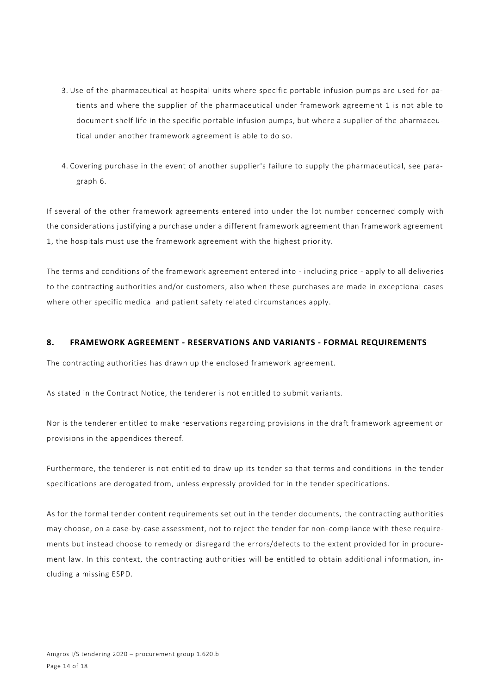- 3. Use of the pharmaceutical at hospital units where specific portable infusion pumps are used for patients and where the supplier of the pharmaceutical under framework agreement 1 is not able to document shelf life in the specific portable infusion pumps, but where a supplier of the pharmaceutical under another framework agreement is able to do so.
- 4. Covering purchase in the event of another supplier's failure to supply the pharmaceutical, see paragraph 6.

If several of the other framework agreements entered into under the lot number concerned comply with the considerations justifying a purchase under a different framework agreement than framework agreement 1, the hospitals must use the framework agreement with the highest priority.

The terms and conditions of the framework agreement entered into - including price - apply to all deliveries to the contracting authorities and/or customers, also when these purchases are made in exceptional cases where other specific medical and patient safety related circumstances apply.

### **8. FRAMEWORK AGREEMENT - RESERVATIONS AND VARIANTS - FORMAL REQUIREMENTS**

The contracting authorities has drawn up the enclosed framework agreement.

As stated in the Contract Notice, the tenderer is not entitled to submit variants.

Nor is the tenderer entitled to make reservations regarding provisions in the draft framework agreement or provisions in the appendices thereof.

Furthermore, the tenderer is not entitled to draw up its tender so that terms and conditions in the tender specifications are derogated from, unless expressly provided for in the tender specifications.

As for the formal tender content requirements set out in the tender documents, the contracting authorities may choose, on a case-by-case assessment, not to reject the tender for non-compliance with these requirements but instead choose to remedy or disregard the errors/defects to the extent provided for in procurement law. In this context, the contracting authorities will be entitled to obtain additional information, including a missing ESPD.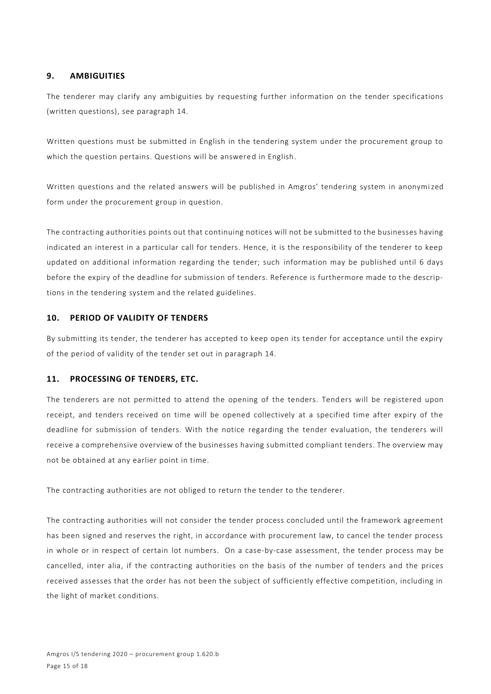## **9. AMBIGUITIES**

The tenderer may clarify any ambiguities by requesting further information on the tender specifications (written questions), see paragraph 14.

Written questions must be submitted in English in the tendering system under the procurement group to which the question pertains. Questions will be answered in English.

Written questions and the related answers will be published in Amgros' tendering system in anonymized form under the procurement group in question.

The contracting authorities points out that continuing notices will not be submitted to the businesses having indicated an interest in a particular call for tenders. Hence, it is the responsibility of the tenderer to keep updated on additional information regarding the tender; such information may be published until 6 days before the expiry of the deadline for submission of tenders. Reference is furthermore made to the descriptions in the tendering system and the related guidelines.

## **10. PERIOD OF VALIDITY OF TENDERS**

By submitting its tender, the tenderer has accepted to keep open its tender for acceptance until the expiry of the period of validity of the tender set out in paragraph 14.

#### **11. PROCESSING OF TENDERS, ETC.**

The tenderers are not permitted to attend the opening of the tenders. Tenders will be registered upon receipt, and tenders received on time will be opened collectively at a specified time after expiry of the deadline for submission of tenders. With the notice regarding the tender evaluation, the tenderers will receive a comprehensive overview of the businesses having submitted compliant tenders. The overview may not be obtained at any earlier point in time.

The contracting authorities are not obliged to return the tender to the tenderer.

The contracting authorities will not consider the tender process concluded until the framework agreement has been signed and reserves the right, in accordance with procurement law, to cancel the tender process in whole or in respect of certain lot numbers. On a case-by-case assessment, the tender process may be cancelled, inter alia, if the contracting authorities on the basis of the number of tenders and the prices received assesses that the order has not been the subject of sufficiently effective competition, including in the light of market conditions.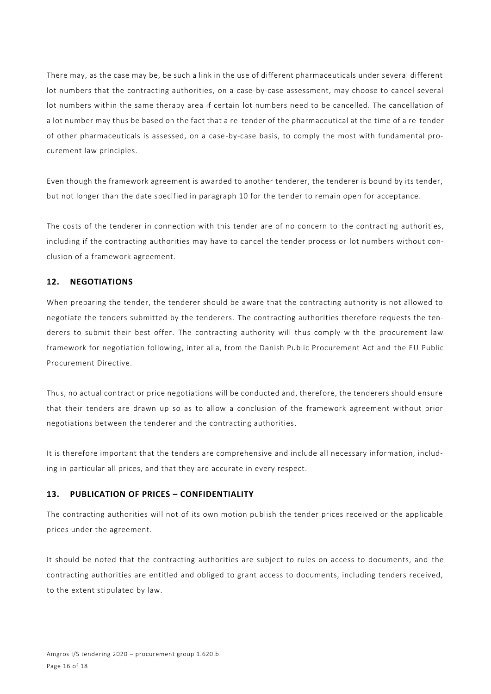There may, as the case may be, be such a link in the use of different pharmaceuticals under several different lot numbers that the contracting authorities, on a case-by-case assessment, may choose to cancel several lot numbers within the same therapy area if certain lot numbers need to be cancelled. The cancellation of a lot number may thus be based on the fact that a re-tender of the pharmaceutical at the time of a re-tender of other pharmaceuticals is assessed, on a case-by-case basis, to comply the most with fundamental procurement law principles.

Even though the framework agreement is awarded to another tenderer, the tenderer is bound by its tender, but not longer than the date specified in paragraph 10 for the tender to remain open for acceptance.

The costs of the tenderer in connection with this tender are of no concern to the contracting authorities, including if the contracting authorities may have to cancel the tender process or lot numbers without conclusion of a framework agreement.

## **12. NEGOTIATIONS**

When preparing the tender, the tenderer should be aware that the contracting authority is not allowed to negotiate the tenders submitted by the tenderers. The contracting authorities therefore requests the tenderers to submit their best offer. The contracting authority will thus comply with the procurement law framework for negotiation following, inter alia, from the Danish Public Procurement Act and the EU Public Procurement Directive.

Thus, no actual contract or price negotiations will be conducted and, therefore, the tenderers should ensure that their tenders are drawn up so as to allow a conclusion of the framework agreement without prior negotiations between the tenderer and the contracting authorities.

It is therefore important that the tenders are comprehensive and include all necessary information, including in particular all prices, and that they are accurate in every respect.

## **13. PUBLICATION OF PRICES – CONFIDENTIALITY**

The contracting authorities will not of its own motion publish the tender prices received or the applicable prices under the agreement.

It should be noted that the contracting authorities are subject to rules on access to documents, and the contracting authorities are entitled and obliged to grant access to documents, including tenders received, to the extent stipulated by law.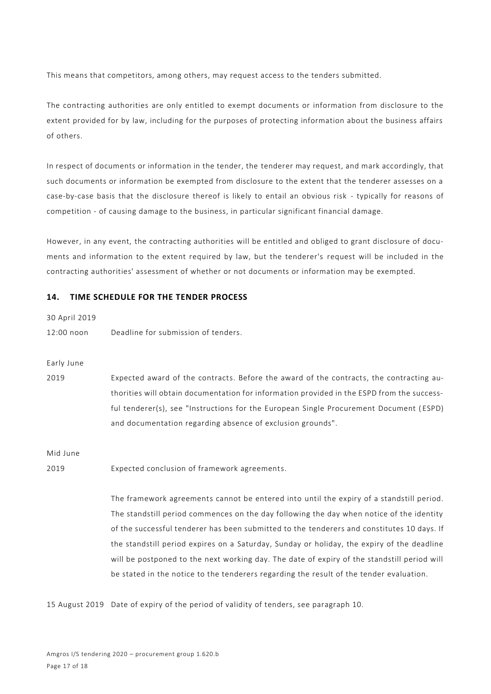This means that competitors, among others, may request access to the tenders submitted.

The contracting authorities are only entitled to exempt documents or information from disclosure to the extent provided for by law, including for the purposes of protecting information about the business affairs of others.

In respect of documents or information in the tender, the tenderer may request, and mark accordingly, that such documents or information be exempted from disclosure to the extent that the tenderer assesses on a case-by-case basis that the disclosure thereof is likely to entail an obvious risk - typically for reasons of competition - of causing damage to the business, in particular significant financial damage.

However, in any event, the contracting authorities will be entitled and obliged to grant disclosure of documents and information to the extent required by law, but the tenderer's request will be included in the contracting authorities' assessment of whether or not documents or information may be exempted.

### **14. TIME SCHEDULE FOR THE TENDER PROCESS**

30 April 2019 12:00 noon Deadline for submission of tenders.

Early June

2019 Expected award of the contracts. Before the award of the contracts, the contracting authorities will obtain documentation for information provided in the ESPD from the successful tenderer(s), see "Instructions for the European Single Procurement Document (ESPD) and documentation regarding absence of exclusion grounds".

Mid June

2019 Expected conclusion of framework agreements.

The framework agreements cannot be entered into until the expiry of a standstill period. The standstill period commences on the day following the day when notice of the identity of the successful tenderer has been submitted to the tenderers and constitutes 10 days. If the standstill period expires on a Saturday, Sunday or holiday, the expiry of the deadline will be postponed to the next working day. The date of expiry of the standstill period will be stated in the notice to the tenderers regarding the result of the tender evaluation.

15 August 2019 Date of expiry of the period of validity of tenders, see paragraph 10.